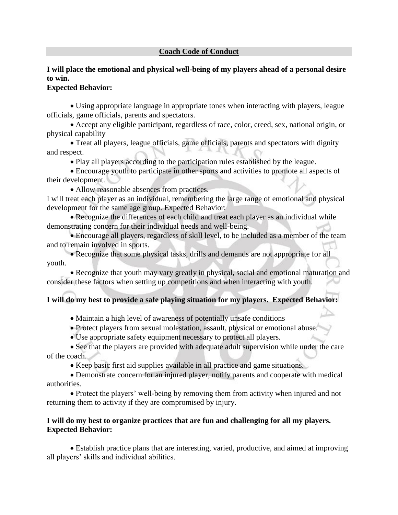#### **Coach Code of Conduct**

## **I will place the emotional and physical well-being of my players ahead of a personal desire to win.**

#### **Expected Behavior:**

• Using appropriate language in appropriate tones when interacting with players, league officials, game officials, parents and spectators.

• Accept any eligible participant, regardless of race, color, creed, sex, national origin, or physical capability

• Treat all players, league officials, game officials, parents and spectators with dignity and respect.

• Play all players according to the participation rules established by the league.

• Encourage youth to participate in other sports and activities to promote all aspects of their development.

• Allow reasonable absences from practices.

I will treat each player as an individual, remembering the large range of emotional and physical development for the same age group. Expected Behavior:

• Recognize the differences of each child and treat each player as an individual while demonstrating concern for their individual needs and well-being.

• Encourage all players, regardless of skill level, to be included as a member of the team and to remain involved in sports.

• Recognize that some physical tasks, drills and demands are not appropriate for all youth.

• Recognize that youth may vary greatly in physical, social and emotional maturation and consider these factors when setting up competitions and when interacting with youth.

## **I will do my best to provide a safe playing situation for my players. Expected Behavior:**

- Maintain a high level of awareness of potentially unsafe conditions
- Protect players from sexual molestation, assault, physical or emotional abuse.
- Use appropriate safety equipment necessary to protect all players.

• See that the players are provided with adequate adult supervision while under the care of the coach.

• Keep basic first aid supplies available in all practice and game situations.

• Demonstrate concern for an injured player, notify parents and cooperate with medical authorities.

• Protect the players' well-being by removing them from activity when injured and not returning them to activity if they are compromised by injury.

### **I will do my best to organize practices that are fun and challenging for all my players. Expected Behavior:**

• Establish practice plans that are interesting, varied, productive, and aimed at improving all players' skills and individual abilities.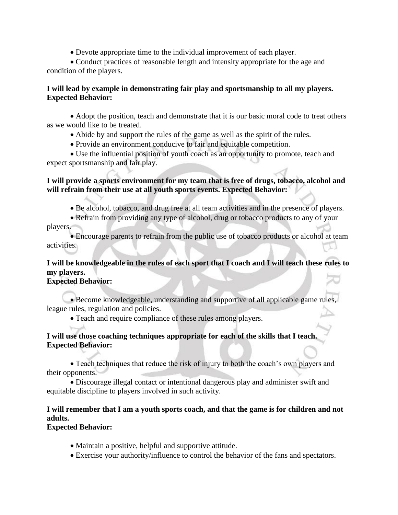• Devote appropriate time to the individual improvement of each player.

• Conduct practices of reasonable length and intensity appropriate for the age and condition of the players.

#### **I will lead by example in demonstrating fair play and sportsmanship to all my players. Expected Behavior:**

• Adopt the position, teach and demonstrate that it is our basic moral code to treat others as we would like to be treated.

- Abide by and support the rules of the game as well as the spirit of the rules.
- Provide an environment conducive to fair and equitable competition.

• Use the influential position of youth coach as an opportunity to promote, teach and expect sportsmanship and fair play.

#### **I will provide a sports environment for my team that is free of drugs, tobacco, alcohol and will refrain from their use at all youth sports events. Expected Behavior:**

- Be alcohol, tobacco, and drug free at all team activities and in the presence of players.
- Refrain from providing any type of alcohol, drug or tobacco products to any of your players.

• Encourage parents to refrain from the public use of tobacco products or alcohol at team activities.

# **I will be knowledgeable in the rules of each sport that I coach and I will teach these rules to my players.**

## **Expected Behavior:**

• Become knowledgeable, understanding and supportive of all applicable game rules, league rules, regulation and policies.

• Teach and require compliance of these rules among players.

#### **I will use those coaching techniques appropriate for each of the skills that I teach. Expected Behavior:**

• Teach techniques that reduce the risk of injury to both the coach's own players and their opponents.

• Discourage illegal contact or intentional dangerous play and administer swift and equitable discipline to players involved in such activity.

# **I will remember that I am a youth sports coach, and that the game is for children and not adults.**

**Expected Behavior:** 

- Maintain a positive, helpful and supportive attitude.
- Exercise your authority/influence to control the behavior of the fans and spectators.